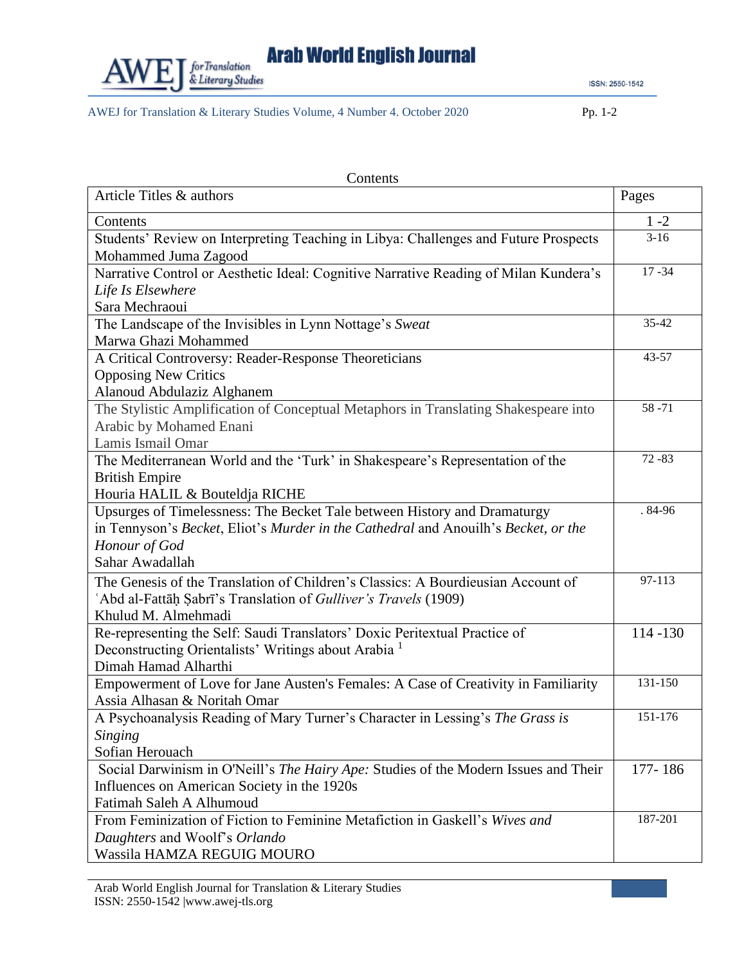

**Arab World English Journal** 

ISSN: 2550-1542

AWEJ for Translation & Literary Studies Volume, 4 Number 4. October 2020 Pp. 1-2

| Article Titles & authors<br>Pages<br>$1 - 2$<br>Contents<br>$3-16$<br>Students' Review on Interpreting Teaching in Libya: Challenges and Future Prospects<br>Mohammed Juma Zagood<br>Narrative Control or Aesthetic Ideal: Cognitive Narrative Reading of Milan Kundera's<br>$17 - 34$<br>Life Is Elsewhere<br>Sara Mechraoui<br>The Landscape of the Invisibles in Lynn Nottage's Sweat<br>35-42<br>Marwa Ghazi Mohammed<br>43-57<br>A Critical Controversy: Reader-Response Theoreticians<br><b>Opposing New Critics</b><br>Alanoud Abdulaziz Alghanem<br>$58 - 71$<br>The Stylistic Amplification of Conceptual Metaphors in Translating Shakespeare into<br>Arabic by Mohamed Enani<br>Lamis Ismail Omar<br>$72 - 83$<br>The Mediterranean World and the 'Turk' in Shakespeare's Representation of the<br><b>British Empire</b><br>Houria HALIL & Bouteldja RICHE<br>$.84-96$<br>Upsurges of Timelessness: The Becket Tale between History and Dramaturgy<br>in Tennyson's Becket, Eliot's Murder in the Cathedral and Anouilh's Becket, or the<br>Honour of God<br>Sahar Awadallah<br>The Genesis of the Translation of Children's Classics: A Bourdieusian Account of<br>97-113<br>'Abd al-Fattāḥ Sabrī's Translation of Gulliver's Travels (1909)<br>Khulud M. Almehmadi<br>Re-representing the Self: Saudi Translators' Doxic Peritextual Practice of<br>114-130<br>Deconstructing Orientalists' Writings about Arabia <sup>1</sup><br>Dimah Hamad Alharthi<br>131-150<br>Empowerment of Love for Jane Austen's Females: A Case of Creativity in Familiarity |
|----------------------------------------------------------------------------------------------------------------------------------------------------------------------------------------------------------------------------------------------------------------------------------------------------------------------------------------------------------------------------------------------------------------------------------------------------------------------------------------------------------------------------------------------------------------------------------------------------------------------------------------------------------------------------------------------------------------------------------------------------------------------------------------------------------------------------------------------------------------------------------------------------------------------------------------------------------------------------------------------------------------------------------------------------------------------------------------------------------------------------------------------------------------------------------------------------------------------------------------------------------------------------------------------------------------------------------------------------------------------------------------------------------------------------------------------------------------------------------------------------------------------------------------------------------------------|
|                                                                                                                                                                                                                                                                                                                                                                                                                                                                                                                                                                                                                                                                                                                                                                                                                                                                                                                                                                                                                                                                                                                                                                                                                                                                                                                                                                                                                                                                                                                                                                      |
|                                                                                                                                                                                                                                                                                                                                                                                                                                                                                                                                                                                                                                                                                                                                                                                                                                                                                                                                                                                                                                                                                                                                                                                                                                                                                                                                                                                                                                                                                                                                                                      |
|                                                                                                                                                                                                                                                                                                                                                                                                                                                                                                                                                                                                                                                                                                                                                                                                                                                                                                                                                                                                                                                                                                                                                                                                                                                                                                                                                                                                                                                                                                                                                                      |
|                                                                                                                                                                                                                                                                                                                                                                                                                                                                                                                                                                                                                                                                                                                                                                                                                                                                                                                                                                                                                                                                                                                                                                                                                                                                                                                                                                                                                                                                                                                                                                      |
|                                                                                                                                                                                                                                                                                                                                                                                                                                                                                                                                                                                                                                                                                                                                                                                                                                                                                                                                                                                                                                                                                                                                                                                                                                                                                                                                                                                                                                                                                                                                                                      |
|                                                                                                                                                                                                                                                                                                                                                                                                                                                                                                                                                                                                                                                                                                                                                                                                                                                                                                                                                                                                                                                                                                                                                                                                                                                                                                                                                                                                                                                                                                                                                                      |
|                                                                                                                                                                                                                                                                                                                                                                                                                                                                                                                                                                                                                                                                                                                                                                                                                                                                                                                                                                                                                                                                                                                                                                                                                                                                                                                                                                                                                                                                                                                                                                      |
|                                                                                                                                                                                                                                                                                                                                                                                                                                                                                                                                                                                                                                                                                                                                                                                                                                                                                                                                                                                                                                                                                                                                                                                                                                                                                                                                                                                                                                                                                                                                                                      |
|                                                                                                                                                                                                                                                                                                                                                                                                                                                                                                                                                                                                                                                                                                                                                                                                                                                                                                                                                                                                                                                                                                                                                                                                                                                                                                                                                                                                                                                                                                                                                                      |
|                                                                                                                                                                                                                                                                                                                                                                                                                                                                                                                                                                                                                                                                                                                                                                                                                                                                                                                                                                                                                                                                                                                                                                                                                                                                                                                                                                                                                                                                                                                                                                      |
|                                                                                                                                                                                                                                                                                                                                                                                                                                                                                                                                                                                                                                                                                                                                                                                                                                                                                                                                                                                                                                                                                                                                                                                                                                                                                                                                                                                                                                                                                                                                                                      |
|                                                                                                                                                                                                                                                                                                                                                                                                                                                                                                                                                                                                                                                                                                                                                                                                                                                                                                                                                                                                                                                                                                                                                                                                                                                                                                                                                                                                                                                                                                                                                                      |
|                                                                                                                                                                                                                                                                                                                                                                                                                                                                                                                                                                                                                                                                                                                                                                                                                                                                                                                                                                                                                                                                                                                                                                                                                                                                                                                                                                                                                                                                                                                                                                      |
|                                                                                                                                                                                                                                                                                                                                                                                                                                                                                                                                                                                                                                                                                                                                                                                                                                                                                                                                                                                                                                                                                                                                                                                                                                                                                                                                                                                                                                                                                                                                                                      |
|                                                                                                                                                                                                                                                                                                                                                                                                                                                                                                                                                                                                                                                                                                                                                                                                                                                                                                                                                                                                                                                                                                                                                                                                                                                                                                                                                                                                                                                                                                                                                                      |
|                                                                                                                                                                                                                                                                                                                                                                                                                                                                                                                                                                                                                                                                                                                                                                                                                                                                                                                                                                                                                                                                                                                                                                                                                                                                                                                                                                                                                                                                                                                                                                      |
|                                                                                                                                                                                                                                                                                                                                                                                                                                                                                                                                                                                                                                                                                                                                                                                                                                                                                                                                                                                                                                                                                                                                                                                                                                                                                                                                                                                                                                                                                                                                                                      |
|                                                                                                                                                                                                                                                                                                                                                                                                                                                                                                                                                                                                                                                                                                                                                                                                                                                                                                                                                                                                                                                                                                                                                                                                                                                                                                                                                                                                                                                                                                                                                                      |
|                                                                                                                                                                                                                                                                                                                                                                                                                                                                                                                                                                                                                                                                                                                                                                                                                                                                                                                                                                                                                                                                                                                                                                                                                                                                                                                                                                                                                                                                                                                                                                      |
|                                                                                                                                                                                                                                                                                                                                                                                                                                                                                                                                                                                                                                                                                                                                                                                                                                                                                                                                                                                                                                                                                                                                                                                                                                                                                                                                                                                                                                                                                                                                                                      |
|                                                                                                                                                                                                                                                                                                                                                                                                                                                                                                                                                                                                                                                                                                                                                                                                                                                                                                                                                                                                                                                                                                                                                                                                                                                                                                                                                                                                                                                                                                                                                                      |
|                                                                                                                                                                                                                                                                                                                                                                                                                                                                                                                                                                                                                                                                                                                                                                                                                                                                                                                                                                                                                                                                                                                                                                                                                                                                                                                                                                                                                                                                                                                                                                      |
|                                                                                                                                                                                                                                                                                                                                                                                                                                                                                                                                                                                                                                                                                                                                                                                                                                                                                                                                                                                                                                                                                                                                                                                                                                                                                                                                                                                                                                                                                                                                                                      |
|                                                                                                                                                                                                                                                                                                                                                                                                                                                                                                                                                                                                                                                                                                                                                                                                                                                                                                                                                                                                                                                                                                                                                                                                                                                                                                                                                                                                                                                                                                                                                                      |
|                                                                                                                                                                                                                                                                                                                                                                                                                                                                                                                                                                                                                                                                                                                                                                                                                                                                                                                                                                                                                                                                                                                                                                                                                                                                                                                                                                                                                                                                                                                                                                      |
|                                                                                                                                                                                                                                                                                                                                                                                                                                                                                                                                                                                                                                                                                                                                                                                                                                                                                                                                                                                                                                                                                                                                                                                                                                                                                                                                                                                                                                                                                                                                                                      |
|                                                                                                                                                                                                                                                                                                                                                                                                                                                                                                                                                                                                                                                                                                                                                                                                                                                                                                                                                                                                                                                                                                                                                                                                                                                                                                                                                                                                                                                                                                                                                                      |
|                                                                                                                                                                                                                                                                                                                                                                                                                                                                                                                                                                                                                                                                                                                                                                                                                                                                                                                                                                                                                                                                                                                                                                                                                                                                                                                                                                                                                                                                                                                                                                      |
| Assia Alhasan & Noritah Omar                                                                                                                                                                                                                                                                                                                                                                                                                                                                                                                                                                                                                                                                                                                                                                                                                                                                                                                                                                                                                                                                                                                                                                                                                                                                                                                                                                                                                                                                                                                                         |
| A Psychoanalysis Reading of Mary Turner's Character in Lessing's The Grass is<br>151-176                                                                                                                                                                                                                                                                                                                                                                                                                                                                                                                                                                                                                                                                                                                                                                                                                                                                                                                                                                                                                                                                                                                                                                                                                                                                                                                                                                                                                                                                             |
| Singing                                                                                                                                                                                                                                                                                                                                                                                                                                                                                                                                                                                                                                                                                                                                                                                                                                                                                                                                                                                                                                                                                                                                                                                                                                                                                                                                                                                                                                                                                                                                                              |
| Sofian Herouach                                                                                                                                                                                                                                                                                                                                                                                                                                                                                                                                                                                                                                                                                                                                                                                                                                                                                                                                                                                                                                                                                                                                                                                                                                                                                                                                                                                                                                                                                                                                                      |
| Social Darwinism in O'Neill's The Hairy Ape: Studies of the Modern Issues and Their<br>177-186                                                                                                                                                                                                                                                                                                                                                                                                                                                                                                                                                                                                                                                                                                                                                                                                                                                                                                                                                                                                                                                                                                                                                                                                                                                                                                                                                                                                                                                                       |
| Influences on American Society in the 1920s                                                                                                                                                                                                                                                                                                                                                                                                                                                                                                                                                                                                                                                                                                                                                                                                                                                                                                                                                                                                                                                                                                                                                                                                                                                                                                                                                                                                                                                                                                                          |
| Fatimah Saleh A Alhumoud<br>From Feminization of Fiction to Feminine Metafiction in Gaskell's Wives and<br>187-201                                                                                                                                                                                                                                                                                                                                                                                                                                                                                                                                                                                                                                                                                                                                                                                                                                                                                                                                                                                                                                                                                                                                                                                                                                                                                                                                                                                                                                                   |
| Daughters and Woolf's Orlando                                                                                                                                                                                                                                                                                                                                                                                                                                                                                                                                                                                                                                                                                                                                                                                                                                                                                                                                                                                                                                                                                                                                                                                                                                                                                                                                                                                                                                                                                                                                        |
| Wassila HAMZA REGUIG MOURO                                                                                                                                                                                                                                                                                                                                                                                                                                                                                                                                                                                                                                                                                                                                                                                                                                                                                                                                                                                                                                                                                                                                                                                                                                                                                                                                                                                                                                                                                                                                           |